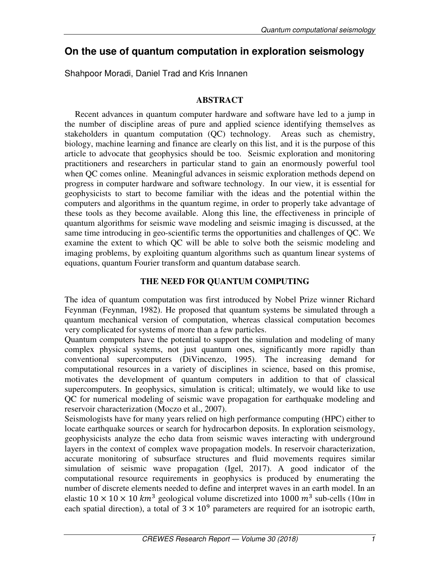# **On the use of quantum computation in exploration seismology**

Shahpoor Moradi, Daniel Trad and Kris Innanen

# **ABSTRACT**

Recent advances in quantum computer hardware and software have led to a jump in the number of discipline areas of pure and applied science identifying themselves as stakeholders in quantum computation (QC) technology. Areas such as chemistry, biology, machine learning and finance are clearly on this list, and it is the purpose of this article to advocate that geophysics should be too. Seismic exploration and monitoring practitioners and researchers in particular stand to gain an enormously powerful tool when QC comes online. Meaningful advances in seismic exploration methods depend on progress in computer hardware and software technology. In our view, it is essential for geophysicists to start to become familiar with the ideas and the potential within the computers and algorithms in the quantum regime, in order to properly take advantage of these tools as they become available. Along this line, the effectiveness in principle of quantum algorithms for seismic wave modeling and seismic imaging is discussed, at the same time introducing in geo-scientific terms the opportunities and challenges of QC. We examine the extent to which QC will be able to solve both the seismic modeling and imaging problems, by exploiting quantum algorithms such as quantum linear systems of equations, quantum Fourier transform and quantum database search.

# **THE NEED FOR QUANTUM COMPUTING**

The idea of quantum computation was first introduced by Nobel Prize winner Richard Feynman (Feynman, 1982). He proposed that quantum systems be simulated through a quantum mechanical version of computation, whereas classical computation becomes very complicated for systems of more than a few particles.

Quantum computers have the potential to support the simulation and modeling of many complex physical systems, not just quantum ones, significantly more rapidly than conventional supercomputers (DiVincenzo, 1995). The increasing demand for computational resources in a variety of disciplines in science, based on this promise, motivates the development of quantum computers in addition to that of classical supercomputers. In geophysics, simulation is critical; ultimately, we would like to use QC for numerical modeling of seismic wave propagation for earthquake modeling and reservoir characterization (Moczo et al., 2007).

Seismologists have for many years relied on high performance computing (HPC) either to locate earthquake sources or search for hydrocarbon deposits. In exploration seismology, geophysicists analyze the echo data from seismic waves interacting with underground layers in the context of complex wave propagation models. In reservoir characterization, accurate monitoring of subsurface structures and fluid movements requires similar simulation of seismic wave propagation (Igel, 2017). A good indicator of the computational resource requirements in geophysics is produced by enumerating the number of discrete elements needed to define and interpret waves in an earth model. In an elastic  $10 \times 10 \times 10$  km<sup>3</sup> geological volume discretized into 1000 m<sup>3</sup> sub-cells (10*m* in each spatial direction), a total of  $3 \times 10^9$  parameters are required for an isotropic earth,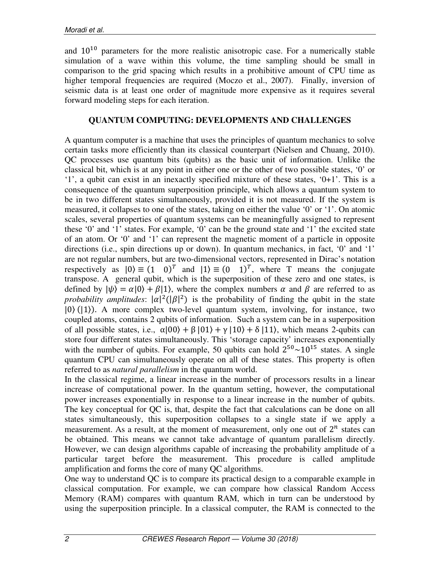and  $10^{10}$  parameters for the more realistic anisotropic case. For a numerically stable simulation of a wave within this volume, the time sampling should be small in comparison to the grid spacing which results in a prohibitive amount of CPU time as higher temporal frequencies are required (Moczo et al., 2007). Finally, inversion of seismic data is at least one order of magnitude more expensive as it requires several forward modeling steps for each iteration.

## **QUANTUM COMPUTING: DEVELOPMENTS AND CHALLENGES**

A quantum computer is a machine that uses the principles of quantum mechanics to solve certain tasks more efficiently than its classical counterpart (Nielsen and Chuang, 2010). QC processes use quantum bits (qubits) as the basic unit of information. Unlike the classical bit, which is at any point in either one or the other of two possible states, '0' or '1', a qubit can exist in an inexactly specified mixture of these states, '0+1'. This is a consequence of the quantum superposition principle, which allows a quantum system to be in two different states simultaneously, provided it is not measured. If the system is measured, it collapses to one of the states, taking on either the value '0' or '1'. On atomic scales, several properties of quantum systems can be meaningfully assigned to represent these '0' and '1' states. For example, '0' can be the ground state and '1' the excited state of an atom. Or '0' and '1' can represent the magnetic moment of a particle in opposite directions (i.e., spin directions up or down). In quantum mechanics, in fact, '0' and '1' are not regular numbers, but are two-dimensional vectors, represented in Dirac's notation respectively as  $|0\rangle \equiv (1 \ 0)^T$  and  $|1\rangle \equiv (0 \ 1)^T$ , where T means the conjugate transpose. A general qubit, which is the superposition of these zero and one states, is defined by  $|\psi\rangle = \alpha|0\rangle + \beta|1\rangle$ , where the complex numbers  $\alpha$  and  $\beta$  are referred to as *probability amplitudes*:  $|\alpha|^2(|\beta|^2)$  is the probability of finding the qubit in the state  $|0\rangle$  (11). A more complex two-level quantum system, involving, for instance, two coupled atoms, contains 2 qubits of information. Such a system can be in a superposition of all possible states, i.e.,  $\alpha|00\rangle + \beta|01\rangle + \gamma|10\rangle + \delta|11\rangle$ , which means 2-qubits can store four different states simultaneously. This 'storage capacity' increases exponentially with the number of qubits. For example, 50 qubits can hold  $2^{50} \sim 10^{15}$  states. A single quantum CPU can simultaneously operate on all of these states. This property is often referred to as *natural parallelism* in the quantum world.

In the classical regime, a linear increase in the number of processors results in a linear increase of computational power. In the quantum setting, however, the computational power increases exponentially in response to a linear increase in the number of qubits. The key conceptual for QC is, that, despite the fact that calculations can be done on all states simultaneously, this superposition collapses to a single state if we apply a measurement. As a result, at the moment of measurement, only one out of  $2^n$  states can be obtained. This means we cannot take advantage of quantum parallelism directly. However, we can design algorithms capable of increasing the probability amplitude of a particular target before the measurement. This procedure is called amplitude amplification and forms the core of many QC algorithms.

One way to understand QC is to compare its practical design to a comparable example in classical computation. For example, we can compare how classical Random Access Memory (RAM) compares with quantum RAM, which in turn can be understood by using the superposition principle. In a classical computer, the RAM is connected to the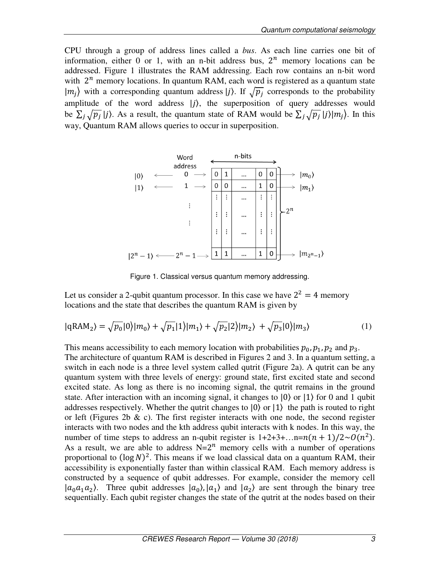CPU through a group of address lines called a *bus*. As each line carries one bit of information, either 0 or 1, with an n-bit address bus,  $2^n$  memory locations can be addressed. Figure 1 illustrates the RAM addressing. Each row contains an n-bit word with  $2^n$  memory locations. In quantum RAM, each word is registered as a quantum state  $|m_j\rangle$  with a corresponding quantum address  $|j\rangle$ . If  $\sqrt{p_j}$  corresponds to the probability amplitude of the word address  $|j\rangle$ , the superposition of query addresses would be  $\sum_j \sqrt{p_j} |j\rangle$ . As a result, the quantum state of RAM would be  $\sum_j \sqrt{p_j} |j\rangle |m_j\rangle$ . In this way, Quantum RAM allows queries to occur in superposition.



Figure 1. Classical versus quantum memory addressing.

Let us consider a 2-qubit quantum processor. In this case we have  $2^2 = 4$  memory locations and the state that describes the quantum RAM is given by

$$
|qRAM2 \rangle = \sqrt{p_0} |0\rangle |m_0\rangle + \sqrt{p_1} |1\rangle |m_1\rangle + \sqrt{p_2} |2\rangle |m_2\rangle + \sqrt{p_3} |0\rangle |m_3\rangle
$$
 (1)

This means accessibility to each memory location with probabilities  $p_0, p_1, p_2$  and  $p_3$ . The architecture of quantum RAM is described in Figures 2 and 3. In a quantum setting, a switch in each node is a three level system called qutrit (Figure 2a). A qutrit can be any quantum system with three levels of energy: ground state, first excited state and second excited state. As long as there is no incoming signal, the qutrit remains in the ground state. After interaction with an incoming signal, it changes to  $|0\rangle$  or  $|1\rangle$  for 0 and 1 qubit addresses respectively. Whether the qutrit changes to |0⟩ or |1⟩ the path is routed to right or left (Figures 2b  $\&$  c). The first register interacts with one node, the second register interacts with two nodes and the kth address qubit interacts with k nodes. In this way, the number of time steps to address an n-qubit register is  $1+2+3+\dots n=n(n + 1)/2 \sim O(n^2)$ . As a result, we are able to address  $N=2^n$  memory cells with a number of operations proportional to  $(\log N)^2$ . This means if we load classical data on a quantum RAM, their accessibility is exponentially faster than within classical RAM. Each memory address is constructed by a sequence of qubit addresses. For example, consider the memory cell  $|a_0a_1a_2\rangle$ . Three qubit addresses  $|a_0\rangle, |a_1\rangle$  and  $|a_2\rangle$  are sent through the binary tree sequentially. Each qubit register changes the state of the qutrit at the nodes based on their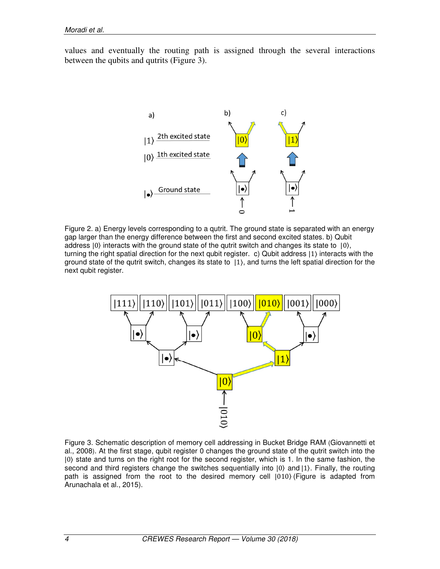values and eventually the routing path is assigned through the several interactions between the qubits and qutrits (Figure 3).



Figure 2. a) Energy levels corresponding to a qutrit. The ground state is separated with an energy gap larger than the energy difference between the first and second excited states. b) Qubit address  $|0\rangle$  interacts with the ground state of the qutrit switch and changes its state to  $|0\rangle$ , turning the right spatial direction for the next qubit register. c) Qubit address |1⟩ interacts with the ground state of the qutrit switch, changes its state to |1⟩, and turns the left spatial direction for the next qubit register.



Figure 3. Schematic description of memory cell addressing in Bucket Bridge RAM (Giovannetti et al., 2008). At the first stage, qubit register 0 changes the ground state of the qutrit switch into the |0⟩ state and turns on the right root for the second register, which is 1. In the same fashion, the second and third registers change the switches sequentially into  $|0\rangle$  and  $|1\rangle$ . Finally, the routing path is assigned from the root to the desired memory cell  $|010\rangle$  (Figure is adapted from Arunachala et al., 2015).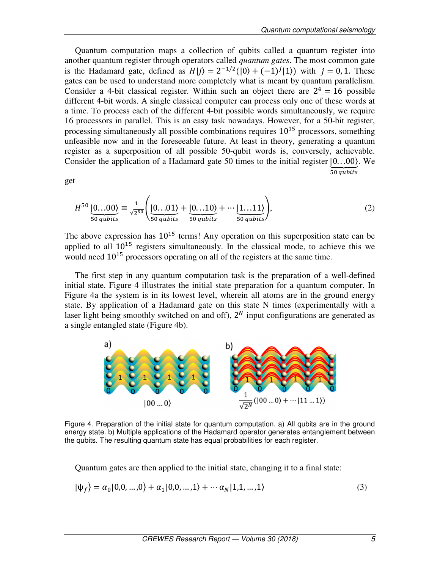Quantum computation maps a collection of qubits called a quantum register into another quantum register through operators called *quantum gates*. The most common gate is the Hadamard gate, defined as  $H|j\rangle = 2^{-1/2}(|0\rangle + (-1)^{j}|1\rangle)$  with  $j = 0, 1$ . These gates can be used to understand more completely what is meant by quantum parallelism. Consider a 4-bit classical register. Within such an object there are  $2^4 = 16$  possible different 4-bit words. A single classical computer can process only one of these words at a time. To process each of the different 4-bit possible words simultaneously, we require 16 processors in parallel. This is an easy task nowadays. However, for a 50-bit register, processing simultaneously all possible combinations requires  $10^{15}$  processors, something unfeasible now and in the foreseeable future. At least in theory, generating a quantum register as a superposition of all possible 50-qubit words is, conversely, achievable. Consider the application of a Hadamard gate 50 times to the initial register  $[0...00]$ . We  $\overline{50 \text{ qubits}}$ 

get

$$
H^{50} \underbrace{|0...00\rangle}_{50 \text{ qubits}} \equiv \frac{1}{\sqrt{2^{50}}} \left( \underbrace{|0...01\rangle}_{50 \text{ qubits}} + \underbrace{|0...10\rangle}_{50 \text{ qubits}} + \cdots \underbrace{|1...11\rangle}_{50 \text{ qubits}} \right),\tag{2}
$$

The above expression has  $10^{15}$  terms! Any operation on this superposition state can be applied to all  $10^{15}$  registers simultaneously. In the classical mode, to achieve this we would need  $10^{15}$  processors operating on all of the registers at the same time.

The first step in any quantum computation task is the preparation of a well-defined initial state. Figure 4 illustrates the initial state preparation for a quantum computer. In Figure 4a the system is in its lowest level, wherein all atoms are in the ground energy state. By application of a Hadamard gate on this state N times (experimentally with a laser light being smoothly switched on and off),  $2<sup>N</sup>$  input configurations are generated as a single entangled state (Figure 4b).



Figure 4. Preparation of the initial state for quantum computation. a) All qubits are in the ground energy state. b) Multiple applications of the Hadamard operator generates entanglement between the qubits. The resulting quantum state has equal probabilities for each register.

Quantum gates are then applied to the initial state, changing it to a final state:

$$
|\psi_f\rangle = \alpha_0|0,0,\dots,0\rangle + \alpha_1|0,0,\dots,1\rangle + \cdots + \alpha_N|1,1,\dots,1\rangle
$$
\n(3)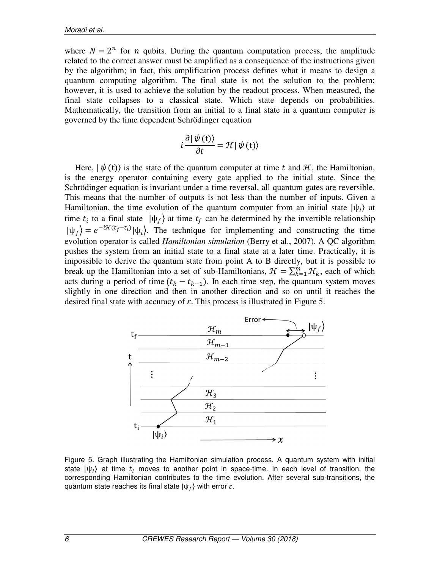where  $N = 2^n$  for *n* qubits. During the quantum computation process, the amplitude related to the correct answer must be amplified as a consequence of the instructions given by the algorithm; in fact, this amplification process defines what it means to design a quantum computing algorithm. The final state is not the solution to the problem; however, it is used to achieve the solution by the readout process. When measured, the final state collapses to a classical state. Which state depends on probabilities. Mathematically, the transition from an initial to a final state in a quantum computer is governed by the time dependent Schrödinger equation

$$
i\frac{\partial |\psi(t)\rangle}{\partial t} = \mathcal{H} |\psi(t)\rangle
$$

Here,  $|\psi(t)\rangle$  is the state of the quantum computer at time t and  $\mathcal{H}$ , the Hamiltonian, is the energy operator containing every gate applied to the initial state. Since the Schrödinger equation is invariant under a time reversal, all quantum gates are reversible. This means that the number of outputs is not less than the number of inputs. Given a Hamiltonian, the time evolution of the quantum computer from an initial state  $|\psi_i\rangle$  at time  $t_i$  to a final state  $|\psi_f\rangle$  at time  $t_f$  can be determined by the invertible relationship  $|\psi_f\rangle = e^{-i\mathcal{H}(t_f - t_i)} |\psi_i\rangle$ . The technique for implementing and constructing the time evolution operator is called *Hamiltonian simulation* (Berry et al., 2007). A QC algorithm pushes the system from an initial state to a final state at a later time. Practically, it is impossible to derive the quantum state from point A to B directly, but it is possible to break up the Hamiltonian into a set of sub-Hamiltonians,  $\mathcal{H} = \sum_{k=1}^{m} \mathcal{H}_k$ , each of which acts during a period of time  $(t_k - t_{k-1})$ . In each time step, the quantum system moves slightly in one direction and then in another direction and so on until it reaches the desired final state with accuracy of  $\varepsilon$ . This process is illustrated in Figure 5.



Figure 5. Graph illustrating the Hamiltonian simulation process. A quantum system with initial state  $|\psi_i\rangle$  at time  $t_i$  moves to another point in space-time. In each level of transition, the corresponding Hamiltonian contributes to the time evolution. After several sub-transitions, the quantum state reaches its final state  $|\psi_f\rangle$  with error  $\varepsilon$ .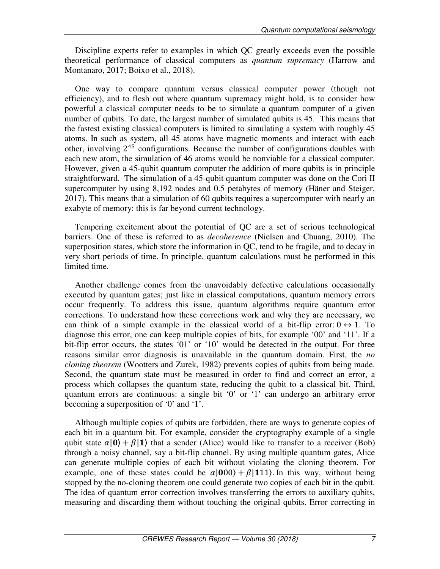Discipline experts refer to examples in which QC greatly exceeds even the possible theoretical performance of classical computers as *quantum supremacy* (Harrow and Montanaro, 2017; Boixo et al., 2018).

One way to compare quantum versus classical computer power (though not efficiency), and to flesh out where quantum supremacy might hold, is to consider how powerful a classical computer needs to be to simulate a quantum computer of a given number of qubits. To date, the largest number of simulated qubits is 45. This means that the fastest existing classical computers is limited to simulating a system with roughly 45 atoms. In such as system, all 45 atoms have magnetic moments and interact with each other, involving  $2^{45}$  configurations. Because the number of configurations doubles with each new atom, the simulation of 46 atoms would be nonviable for a classical computer. However, given a 45-qubit quantum computer the addition of more qubits is in principle straightforward. The simulation of a 45-qubit quantum computer was done on the Cori II supercomputer by using 8,192 nodes and 0.5 petabytes of memory (Häner and Steiger, 2017). This means that a simulation of 60 qubits requires a supercomputer with nearly an exabyte of memory: this is far beyond current technology.

Tempering excitement about the potential of QC are a set of serious technological barriers. One of these is referred to as *decoherence* (Nielsen and Chuang, 2010). The superposition states, which store the information in QC, tend to be fragile, and to decay in very short periods of time. In principle, quantum calculations must be performed in this limited time.

Another challenge comes from the unavoidably defective calculations occasionally executed by quantum gates; just like in classical computations, quantum memory errors occur frequently. To address this issue, quantum algorithms require quantum error corrections. To understand how these corrections work and why they are necessary, we can think of a simple example in the classical world of a bit-flip error:  $0 \leftrightarrow 1$ . To diagnose this error, one can keep multiple copies of bits, for example '00' and '11'. If a bit-flip error occurs, the states '01' or '10' would be detected in the output. For three reasons similar error diagnosis is unavailable in the quantum domain. First, the *no cloning theorem* (Wootters and Zurek, 1982) prevents copies of qubits from being made. Second, the quantum state must be measured in order to find and correct an error, a process which collapses the quantum state, reducing the qubit to a classical bit. Third, quantum errors are continuous: a single bit '0' or '1' can undergo an arbitrary error becoming a superposition of '0' and '1'.

Although multiple copies of qubits are forbidden, there are ways to generate copies of each bit in a quantum bit. For example, consider the cryptography example of a single qubit state  $\alpha$  | 0 +  $\beta$ | 1 that a sender (Alice) would like to transfer to a receiver (Bob) through a noisy channel, say a bit-flip channel. By using multiple quantum gates, Alice can generate multiple copies of each bit without violating the cloning theorem. For example, one of these states could be  $\alpha$ [000) +  $\beta$ [111). In this way, without being stopped by the no-cloning theorem one could generate two copies of each bit in the qubit. The idea of quantum error correction involves transferring the errors to auxiliary qubits, measuring and discarding them without touching the original qubits. Error correcting in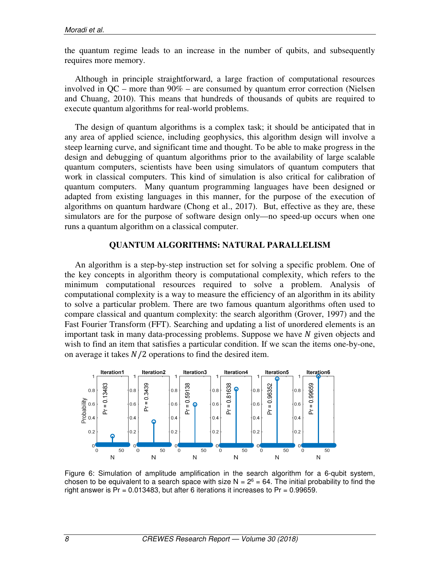the quantum regime leads to an increase in the number of qubits, and subsequently requires more memory.

Although in principle straightforward, a large fraction of computational resources involved in QC – more than 90% – are consumed by quantum error correction (Nielsen and Chuang, 2010). This means that hundreds of thousands of qubits are required to execute quantum algorithms for real-world problems.

The design of quantum algorithms is a complex task; it should be anticipated that in any area of applied science, including geophysics, this algorithm design will involve a steep learning curve, and significant time and thought. To be able to make progress in the design and debugging of quantum algorithms prior to the availability of large scalable quantum computers, scientists have been using simulators of quantum computers that work in classical computers. This kind of simulation is also critical for calibration of quantum computers. Many quantum programming languages have been designed or adapted from existing languages in this manner, for the purpose of the execution of algorithms on quantum hardware (Chong et al., 2017). But, effective as they are, these simulators are for the purpose of software design only—no speed-up occurs when one runs a quantum algorithm on a classical computer.

#### **QUANTUM ALGORITHMS: NATURAL PARALLELISM**

An algorithm is a step-by-step instruction set for solving a specific problem. One of the key concepts in algorithm theory is computational complexity, which refers to the minimum computational resources required to solve a problem. Analysis of computational complexity is a way to measure the efficiency of an algorithm in its ability to solve a particular problem. There are two famous quantum algorithms often used to compare classical and quantum complexity: the search algorithm (Grover, 1997) and the Fast Fourier Transform (FFT). Searching and updating a list of unordered elements is an important task in many data-processing problems. Suppose we have  $N$  given objects and wish to find an item that satisfies a particular condition. If we scan the items one-by-one, on average it takes  $N/2$  operations to find the desired item.



Figure 6: Simulation of amplitude amplification in the search algorithm for a 6-qubit system, chosen to be equivalent to a search space with size  $N = 2^6 = 64$ . The initial probability to find the right answer is  $Pr = 0.013483$ , but after 6 iterations it increases to  $Pr = 0.99659$ .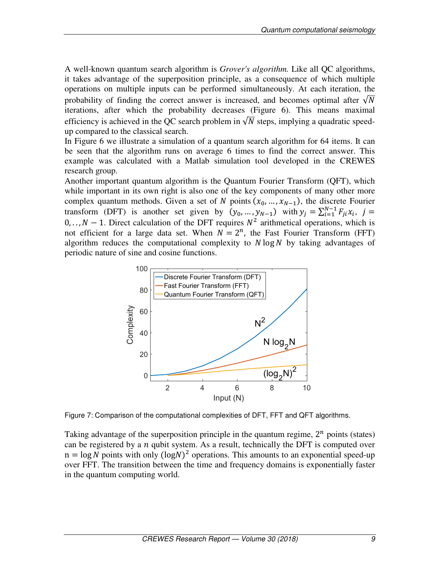A well-known quantum search algorithm is *Grover's algorithm.* Like all QC algorithms, it takes advantage of the superposition principle, as a consequence of which multiple operations on multiple inputs can be performed simultaneously. At each iteration, the probability of finding the correct answer is increased, and becomes optimal after  $\sqrt{N}$ iterations, after which the probability decreases (Figure 6). This means maximal efficiency is achieved in the QC search problem in  $\sqrt{N}$  steps, implying a quadratic speedup compared to the classical search.

In Figure 6 we illustrate a simulation of a quantum search algorithm for 64 items. It can be seen that the algorithm runs on average 6 times to find the correct answer. This example was calculated with a Matlab simulation tool developed in the CREWES research group.

Another important quantum algorithm is the Quantum Fourier Transform (QFT), which while important in its own right is also one of the key components of many other more complex quantum methods. Given a set of N points  $(x_0, ..., x_{N-1})$ , the discrete Fourier transform (DFT) is another set given by  $(y_0, ..., y_{N-1})$  with  $y_j = \sum_{i=1}^{N-1} F_{ji}x_i$ ,  $j =$  $0, \ldots, N - 1$ . Direct calculation of the DFT requires  $N^2$  arithmetical operations, which is not efficient for a large data set. When  $N = 2<sup>n</sup>$ , the Fast Fourier Transform (FFT) algorithm reduces the computational complexity to  $N \log N$  by taking advantages of periodic nature of sine and cosine functions.



Figure 7: Comparison of the computational complexities of DFT, FFT and QFT algorithms.

Taking advantage of the superposition principle in the quantum regime,  $2^n$  points (states) can be registered by a  $n$  qubit system. As a result, technically the DFT is computed over  $n = \log N$  points with only  $(\log N)^2$  operations. This amounts to an exponential speed-up over FFT. The transition between the time and frequency domains is exponentially faster in the quantum computing world.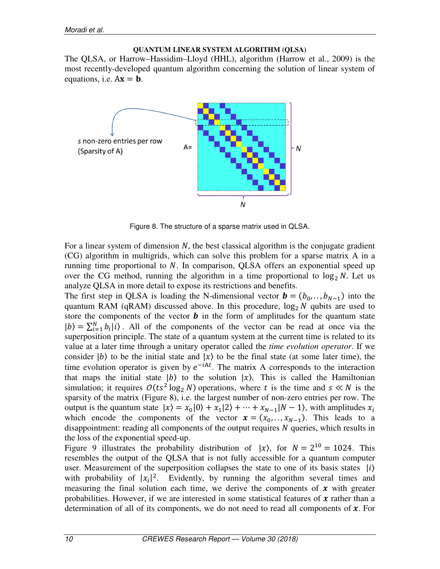#### **QUANTUM LINEAR SYSTEM ALGORITHM (QLSA)**

The QLSA, or Harrow–Hassidim–Lloyd (HHL), algorithm (Harrow et al., 2009) is the most recently-developed quantum algorithm concerning the solution of linear system of equations, i.e.  $Ax = b$ .



Figure 8. The structure of a sparse matrix used in QLSA.

For a linear system of dimension  $N$ , the best classical algorithm is the conjugate gradient (CG) algorithm in multigrids, which can solve this problem for a sparse matrix A in a running time proportional to  $N$ . In comparison, QLSA offers an exponential speed up over the CG method, running the algorithm in a time proportional to  $\log_2 N$ . Let us analyze QLSA in more detail to expose its restrictions and benefits.

The first step in QLSA is loading the N-dimensional vector  $\mathbf{b} = (b_0, \dots, b_{N-1})$  into the quantum RAM (qRAM) discussed above. In this procedure,  $log_2 N$  qubits are used to store the components of the vector  $\boldsymbol{b}$  in the form of amplitudes for the quantum state  $|b\rangle = \sum_{i=1}^{N} b_i |i\rangle$ . All of the components of the vector can be read at once via the superposition principle. The state of a quantum system at the current time is related to its value at a later time through a unitary operator called the *time evolution operator*. If we consider  $|b\rangle$  to be the initial state and  $|x\rangle$  to be the final state (at some later time), the time evolution operator is given by  $e^{-iAt}$ . The matrix A corresponds to the interaction that maps the initial state  $|b\rangle$  to the solution  $|x\rangle$ . This is called the Hamiltonian simulation; it requires  $O(ts^2 \log_2 N)$  operations, where t is the time and  $s \ll N$  is the sparsity of the matrix (Figure 8), i.e. the largest number of non-zero entries per row. The output is the quantum state  $|x\rangle = x_0|0\rangle + x_1|2\rangle + \cdots + x_{N-1}|N-1\rangle$ , with amplitudes  $x_i$ which encode the components of the vector  $x = (x_0, \dots, x_{N-1})$ . This leads to a disappointment: reading all components of the output requires  $N$  queries, which results in the loss of the exponential speed-up.

Figure 9 illustrates the probability distribution of  $|x\rangle$ , for  $N = 2^{10} = 1024$ . This resembles the output of the QLSA that is not fully accessible for a quantum computer user. Measurement of the superposition collapses the state to one of its basis states  $|i\rangle$ with probability of  $|x_i|^2$ . Evidently, by running the algorithm several times and measuring the final solution each time, we derive the components of  $x$  with greater probabilities. However, if we are interested in some statistical features of  $\boldsymbol{\chi}$  rather than a determination of all of its components, we do not need to read all components of  $\boldsymbol{x}$ . For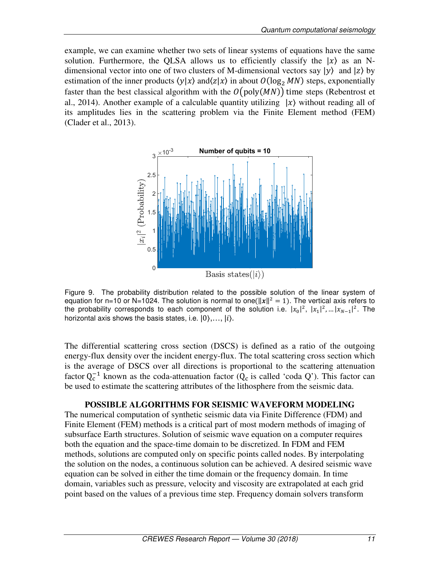example, we can examine whether two sets of linear systems of equations have the same solution. Furthermore, the QLSA allows us to efficiently classify the  $|x\rangle$  as an Ndimensional vector into one of two clusters of M-dimensional vectors say  $|y\rangle$  and  $|z\rangle$  by estimation of the inner products  $\langle y|x \rangle$  and $\langle z|x \rangle$  in about  $O(\log_2 MN)$  steps, exponentially faster than the best classical algorithm with the  $O(poly(MN))$  time steps (Rebentrost et al., 2014). Another example of a calculable quantity utilizing  $|x\rangle$  without reading all of its amplitudes lies in the scattering problem via the Finite Element method (FEM) (Clader et al., 2013).



Figure 9. The probability distribution related to the possible solution of the linear system of equation for n=10 or N=1024. The solution is normal to one( $||x||^2 = 1$ ). The vertical axis refers to the probability corresponds to each component of the solution i.e.  $|x_0|^2$ ,  $|x_1|^2$ , ...  $|x_{N-1}|^2$ . The horizontal axis shows the basis states, i.e.  $|0\rangle$ ,...,  $|i\rangle$ .

The differential scattering cross section (DSCS) is defined as a ratio of the outgoing energy-flux density over the incident energy-flux. The total scattering cross section which is the average of DSCS over all directions is proportional to the scattering attenuation factor  $Q_c^{-1}$  known as the coda-attenuation factor ( $Q_c$  is called 'coda Q'). This factor can be used to estimate the scattering attributes of the lithosphere from the seismic data.

#### **POSSIBLE ALGORITHMS FOR SEISMIC WAVEFORM MODELING**

The numerical computation of synthetic seismic data via Finite Difference (FDM) and Finite Element (FEM) methods is a critical part of most modern methods of imaging of subsurface Earth structures. Solution of seismic wave equation on a computer requires both the equation and the space-time domain to be discretized. In FDM and FEM methods, solutions are computed only on specific points called nodes. By interpolating the solution on the nodes, a continuous solution can be achieved. A desired seismic wave equation can be solved in either the time domain or the frequency domain. In time domain, variables such as pressure, velocity and viscosity are extrapolated at each grid point based on the values of a previous time step. Frequency domain solvers transform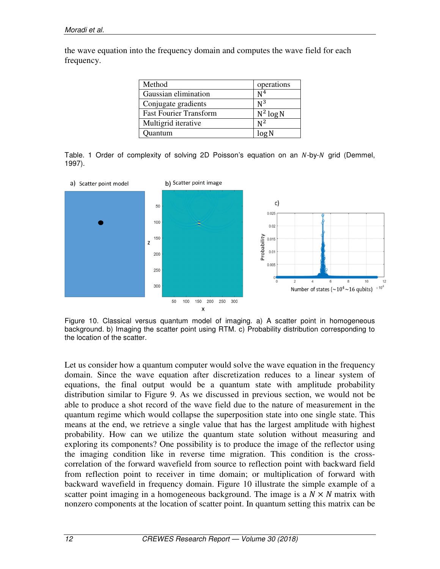the wave equation into the frequency domain and computes the wave field for each frequency.

| Method                        | operations     |
|-------------------------------|----------------|
| Gaussian elimination          | N <sup>4</sup> |
| Conjugate gradients           | $N^3$          |
| <b>Fast Fourier Transform</b> | $N^2$ log N    |
| Multigrid iterative           | $N^2$          |
| Ouantum                       | log N          |

Table. 1 Order of complexity of solving 2D Poisson's equation on an  $N$ -by- $N$  grid (Demmel, 1997).



Figure 10. Classical versus quantum model of imaging. a) A scatter point in homogeneous background. b) Imaging the scatter point using RTM. c) Probability distribution corresponding to the location of the scatter.

Let us consider how a quantum computer would solve the wave equation in the frequency domain. Since the wave equation after discretization reduces to a linear system of equations, the final output would be a quantum state with amplitude probability distribution similar to Figure 9. As we discussed in previous section, we would not be able to produce a shot record of the wave field due to the nature of measurement in the quantum regime which would collapse the superposition state into one single state. This means at the end, we retrieve a single value that has the largest amplitude with highest probability. How can we utilize the quantum state solution without measuring and exploring its components? One possibility is to produce the image of the reflector using the imaging condition like in reverse time migration. This condition is the crosscorrelation of the forward wavefield from source to reflection point with backward field from reflection point to receiver in time domain; or multiplication of forward with backward wavefield in frequency domain. Figure 10 illustrate the simple example of a scatter point imaging in a homogeneous background. The image is a  $N \times N$  matrix with nonzero components at the location of scatter point. In quantum setting this matrix can be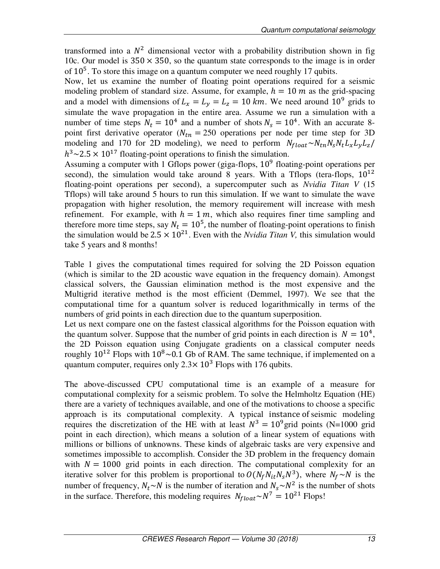transformed into a  $N^2$  dimensional vector with a probability distribution shown in fig 10c. Our model is  $350 \times 350$ , so the quantum state corresponds to the image is in order of  $10<sup>5</sup>$ . To store this image on a quantum computer we need roughly 17 qubits.

Now, let us examine the number of floating point operations required for a seismic modeling problem of standard size. Assume, for example,  $h = 10 \, m$  as the grid-spacing and a model with dimensions of  $L_x = L_y = L_z = 10 \text{ km}$ . We need around  $10^9$  grids to simulate the wave propagation in the entire area. Assume we run a simulation with a number of time steps  $N_t = 10^4$  and a number of shots  $N_s = 10^4$ . With an accurate 8point first derivative operator ( $N_{tn} = 250$  operations per node per time step for 3D modeling and 170 for 2D modeling), we need to perform  $N_{float} \sim N_{tn} N_s N_t L_x L_y L_z$  $h^3 \sim 2.5 \times 10^{17}$  floating-point operations to finish the simulation.

Assuming a computer with 1 Gflops power (giga-flops,  $10^9$  floating-point operations per second), the simulation would take around 8 years. With a Tflops (tera-flops,  $10^{12}$ floating-point operations per second), a supercomputer such as *Nvidia Titan V* (15 Tflops) will take around 5 hours to run this simulation. If we want to simulate the wave propagation with higher resolution, the memory requirement will increase with mesh refinement. For example, with  $h = 1 m$ , which also requires finer time sampling and therefore more time steps, say  $N_t = 10^5$ , the number of floating-point operations to finish the simulation would be  $2.5 \times 10^{21}$ . Even with the *Nvidia Titan V*, this simulation would take 5 years and 8 months!

Table 1 gives the computational times required for solving the 2D Poisson equation (which is similar to the 2D acoustic wave equation in the frequency domain). Amongst classical solvers, the Gaussian elimination method is the most expensive and the Multigrid iterative method is the most efficient (Demmel, 1997). We see that the computational time for a quantum solver is reduced logarithmically in terms of the numbers of grid points in each direction due to the quantum superposition.

Let us next compare one on the fastest classical algorithms for the Poisson equation with the quantum solver. Suppose that the number of grid points in each direction is  $N = 10<sup>4</sup>$ , the 2D Poisson equation using Conjugate gradients on a classical computer needs roughly  $10^{12}$  Flops with  $10^8 \sim 0.1$  Gb of RAM. The same technique, if implemented on a quantum computer, requires only  $2.3 \times 10^3$  Flops with 176 qubits.

The above-discussed CPU computational time is an example of a measure for computational complexity for a seismic problem. To solve the Helmholtz Equation (HE) there are a variety of techniques available, and one of the motivations to choose a specific approach is its computational complexity. A typical instance of seismic modeling requires the discretization of the HE with at least  $N^3 = 10^9$  grid points (N=1000 grid point in each direction), which means a solution of a linear system of equations with millions or billions of unknowns. These kinds of algebraic tasks are very expensive and sometimes impossible to accomplish. Consider the 3D problem in the frequency domain with  $N = 1000$  grid points in each direction. The computational complexity for an iterative solver for this problem is proportional to  $O(N_f N_{it} N_s N^3)$ , where  $N_f \sim N$  is the number of frequency,  $N_t \sim N$  is the number of iteration and  $N_s \sim N^2$  is the number of shots in the surface. Therefore, this modeling requires  $N_{float} \sim N^7 = 10^{21}$  Flops!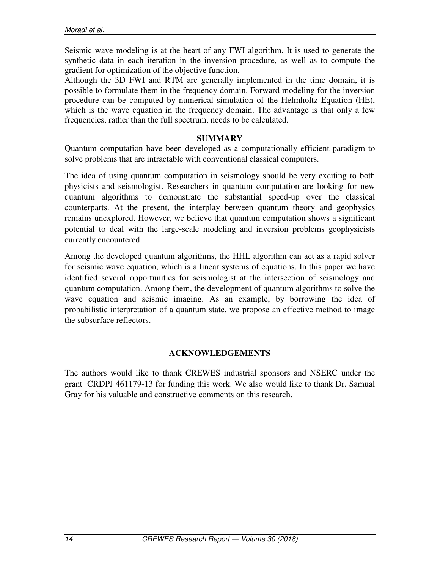Seismic wave modeling is at the heart of any FWI algorithm. It is used to generate the synthetic data in each iteration in the inversion procedure, as well as to compute the gradient for optimization of the objective function.

Although the 3D FWI and RTM are generally implemented in the time domain, it is possible to formulate them in the frequency domain. Forward modeling for the inversion procedure can be computed by numerical simulation of the Helmholtz Equation (HE), which is the wave equation in the frequency domain. The advantage is that only a few frequencies, rather than the full spectrum, needs to be calculated.

## **SUMMARY**

Quantum computation have been developed as a computationally efficient paradigm to solve problems that are intractable with conventional classical computers.

The idea of using quantum computation in seismology should be very exciting to both physicists and seismologist. Researchers in quantum computation are looking for new quantum algorithms to demonstrate the substantial speed-up over the classical counterparts. At the present, the interplay between quantum theory and geophysics remains unexplored. However, we believe that quantum computation shows a significant potential to deal with the large-scale modeling and inversion problems geophysicists currently encountered.

Among the developed quantum algorithms, the HHL algorithm can act as a rapid solver for seismic wave equation, which is a linear systems of equations. In this paper we have identified several opportunities for seismologist at the intersection of seismology and quantum computation. Among them, the development of quantum algorithms to solve the wave equation and seismic imaging. As an example, by borrowing the idea of probabilistic interpretation of a quantum state, we propose an effective method to image the subsurface reflectors.

# **ACKNOWLEDGEMENTS**

The authors would like to thank CREWES industrial sponsors and NSERC under the grant CRDPJ 461179-13 for funding this work. We also would like to thank Dr. Samual Gray for his valuable and constructive comments on this research.